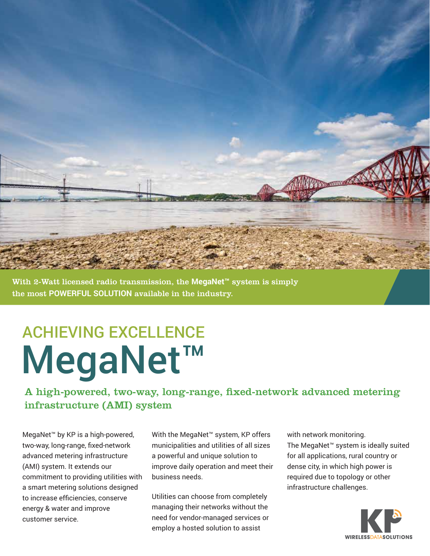

With 2-Watt licensed radio transmission, the **MegaNet™** system is simply the most **POWERFUL SOLUTION** available in the industry.

# ACHIEVING EXCELLENCE MegaNet™

A high-powered, two-way, long-range, fixed-network advanced metering infrastructure (AMI) system

MegaNet™ by KP is a high-powered, two-way, long-range, fixed-network advanced metering infrastructure (AMI) system. It extends our commitment to providing utilities with a smart metering solutions designed to increase efficiencies, conserve energy & water and improve customer service.

With the MegaNet™ system, KP offers municipalities and utilities of all sizes a powerful and unique solution to improve daily operation and meet their business needs.

Utilities can choose from completely managing their networks without the need for vendor-managed services or employ a hosted solution to assist

with network monitoring. The MegaNet™ system is ideally suited for all applications, rural country or dense city, in which high power is required due to topology or other infrastructure challenges.